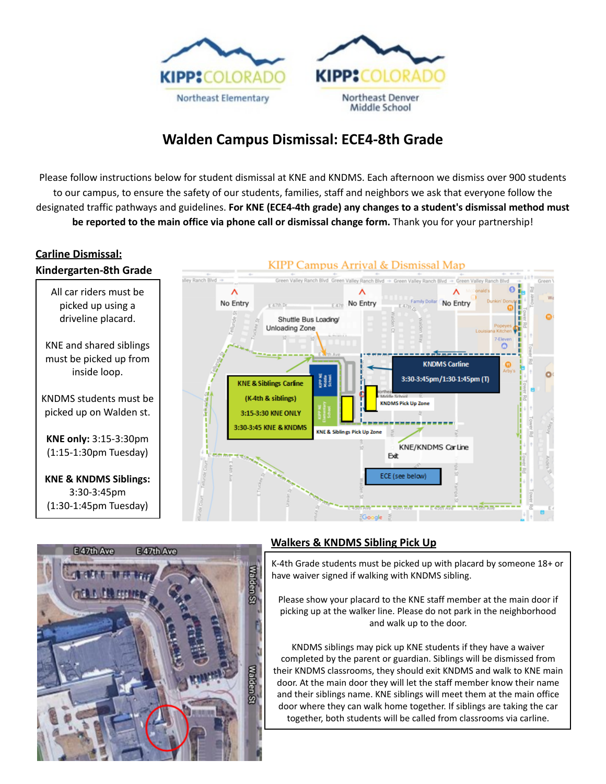

# **Walden Campus Dismissal: ECE4-8th Grade**

Please follow instructions below for student dismissal at KNE and KNDMS. Each afternoon we dismiss over 900 students to our campus, to ensure the safety of our students, families, staff and neighbors we ask that everyone follow the designated traffic pathways and guidelines. **For KNE (ECE4-4th grade) any changes to a student's dismissal method must be reported to the main office via phone call or dismissal change form.** Thank you for your partnership!

#### **Carline Dismissal:**





### **Walkers & KNDMS Sibling Pick Up**

K-4th Grade students must be picked up with placard by someone 18+ or have waiver signed if walking with KNDMS sibling.

Please show your placard to the KNE staff member at the main door if picking up at the walker line. Please do not park in the neighborhood and walk up to the door.

KNDMS siblings may pick up KNE students if they have a waiver completed by the parent or guardian. Siblings will be dismissed from their KNDMS classrooms, they should exit KNDMS and walk to KNE main door. At the main door they will let the staff member know their name and their siblings name. KNE siblings will meet them at the main office door where they can walk home together. If siblings are taking the car together, both students will be called from classrooms via carline.